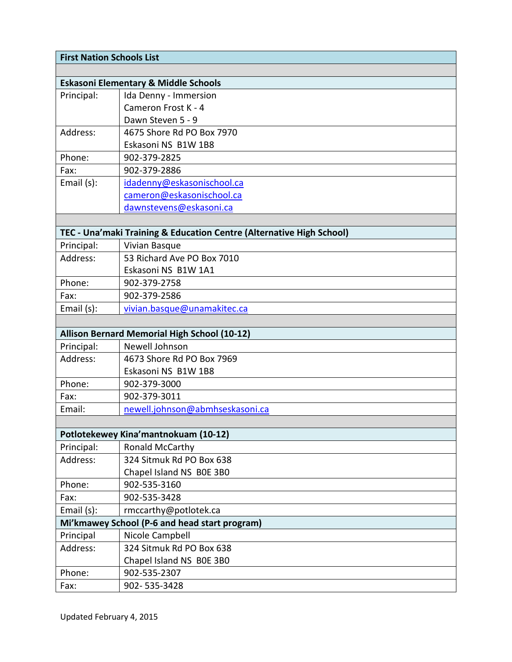| <b>First Nation Schools List</b>              |                                                                      |  |
|-----------------------------------------------|----------------------------------------------------------------------|--|
|                                               |                                                                      |  |
|                                               | <b>Eskasoni Elementary &amp; Middle Schools</b>                      |  |
| Principal:                                    | Ida Denny - Immersion                                                |  |
|                                               | Cameron Frost K - 4                                                  |  |
|                                               | Dawn Steven 5 - 9                                                    |  |
| Address:                                      | 4675 Shore Rd PO Box 7970                                            |  |
|                                               | Eskasoni NS B1W 1B8                                                  |  |
| Phone:                                        | 902-379-2825                                                         |  |
| Fax:                                          | 902-379-2886                                                         |  |
| Email (s):                                    | idadenny@eskasonischool.ca                                           |  |
|                                               | cameron@eskasonischool.ca                                            |  |
|                                               | dawnstevens@eskasoni.ca                                              |  |
|                                               |                                                                      |  |
|                                               | TEC - Una'maki Training & Education Centre (Alternative High School) |  |
| Principal:                                    | Vivian Basque                                                        |  |
| Address:                                      | 53 Richard Ave PO Box 7010                                           |  |
|                                               | Eskasoni NS B1W 1A1                                                  |  |
| Phone:                                        | 902-379-2758                                                         |  |
| Fax:                                          | 902-379-2586                                                         |  |
| Email (s):                                    | vivian.basque@unamakitec.ca                                          |  |
|                                               |                                                                      |  |
|                                               | Allison Bernard Memorial High School (10-12)                         |  |
| Principal:                                    | Newell Johnson                                                       |  |
| Address:                                      | 4673 Shore Rd PO Box 7969                                            |  |
|                                               | Eskasoni NS B1W 1B8                                                  |  |
| Phone:                                        | 902-379-3000                                                         |  |
| Fax:                                          | 902-379-3011                                                         |  |
| Email:                                        | newell.johnson@abmhseskasoni.ca                                      |  |
|                                               |                                                                      |  |
|                                               | Potlotekewey Kina'mantnokuam (10-12)                                 |  |
| Principal:                                    | Ronald McCarthy                                                      |  |
| Address:                                      | 324 Sitmuk Rd PO Box 638                                             |  |
|                                               | Chapel Island NS BOE 3BO                                             |  |
| Phone:                                        | 902-535-3160                                                         |  |
| Fax:                                          | 902-535-3428                                                         |  |
| Email (s):                                    | rmccarthy@potlotek.ca                                                |  |
| Mi'kmawey School (P-6 and head start program) |                                                                      |  |
| Principal                                     | Nicole Campbell                                                      |  |
| Address:                                      | 324 Sitmuk Rd PO Box 638                                             |  |
|                                               | Chapel Island NS BOE 3BO                                             |  |
| Phone:                                        | 902-535-2307                                                         |  |
| Fax:                                          | 902-535-3428                                                         |  |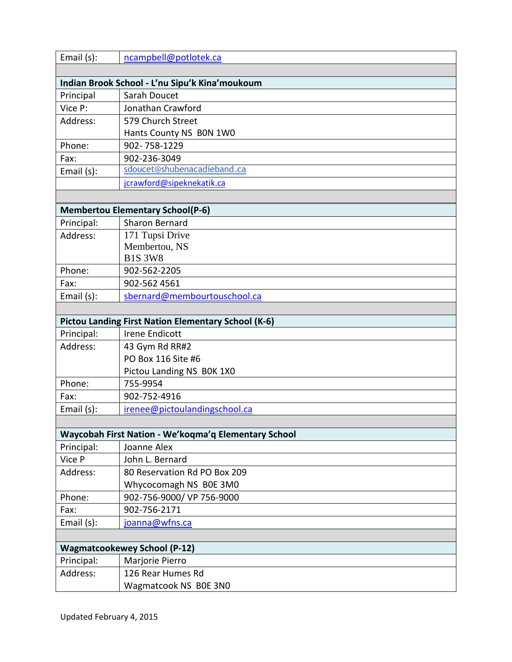| Email (s):                              | ncampbell@potlotek.ca                                      |  |
|-----------------------------------------|------------------------------------------------------------|--|
|                                         |                                                            |  |
|                                         | Indian Brook School - L'nu Sipu'k Kina'moukoum             |  |
| Principal                               | Sarah Doucet                                               |  |
| Vice P:                                 | Jonathan Crawford                                          |  |
| Address:                                | 579 Church Street                                          |  |
|                                         | Hants County NS BON 1WO                                    |  |
| Phone:                                  | 902-758-1229                                               |  |
| Fax:                                    | 902-236-3049                                               |  |
| Email (s):                              | sdoucet@shubenacadieband.ca                                |  |
|                                         | jcrawford@sipeknekatik.ca                                  |  |
|                                         |                                                            |  |
| <b>Membertou Elementary School(P-6)</b> |                                                            |  |
| Principal:                              | <b>Sharon Bernard</b>                                      |  |
| Address:                                | 171 Tupsi Drive                                            |  |
|                                         | Membertou, NS                                              |  |
|                                         | <b>B1S 3W8</b>                                             |  |
| Phone:                                  | 902-562-2205                                               |  |
| Fax:                                    | 902-562 4561                                               |  |
| Email (s):                              | sbernard@membourtouschool.ca                               |  |
|                                         |                                                            |  |
|                                         | <b>Pictou Landing First Nation Elementary School (K-6)</b> |  |
| Principal:                              | <b>Irene Endicott</b>                                      |  |
| Address:                                | 43 Gym Rd RR#2                                             |  |
|                                         | PO Box 116 Site #6                                         |  |
|                                         | Pictou Landing NS BOK 1X0                                  |  |
| Phone:                                  | 755-9954                                                   |  |
| Fax:                                    | 902-752-4916                                               |  |
| Email (s):                              | irenee@pictoulandingschool.ca                              |  |
|                                         |                                                            |  |
|                                         | Waycobah First Nation - We'koqma'q Elementary School       |  |
| Principal:                              | Joanne Alex                                                |  |
| Vice P                                  | John L. Bernard                                            |  |
| Address:                                | 80 Reservation Rd PO Box 209                               |  |
|                                         | Whycocomagh NS BOE 3MO                                     |  |
| Phone:                                  | 902-756-9000/ VP 756-9000                                  |  |
| Fax:                                    | 902-756-2171                                               |  |
| Email (s):                              | joanna@wfns.ca                                             |  |
|                                         |                                                            |  |
|                                         | <b>Wagmatcookewey School (P-12)</b>                        |  |
| Principal:                              | Marjorie Pierro                                            |  |
| Address:                                | 126 Rear Humes Rd                                          |  |
|                                         | Wagmatcook NS B0E 3N0                                      |  |